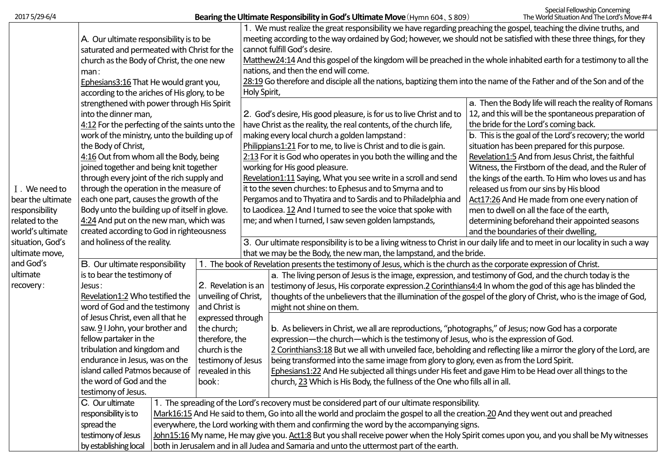2017 5/29-6/4

|                   |                                                                                                                                 |                                                                                                                                    |                                                                                                                       | 1. We must realize the great responsibility we have regarding preaching the gospel, teaching the divine truths, and   |                                                                                                                                           |                                                        |  |  |  |
|-------------------|---------------------------------------------------------------------------------------------------------------------------------|------------------------------------------------------------------------------------------------------------------------------------|-----------------------------------------------------------------------------------------------------------------------|-----------------------------------------------------------------------------------------------------------------------|-------------------------------------------------------------------------------------------------------------------------------------------|--------------------------------------------------------|--|--|--|
|                   | A. Our ultimate responsibility is to be                                                                                         |                                                                                                                                    |                                                                                                                       | meeting according to the way ordained by God; however, we should not be satisfied with these three things, for they   |                                                                                                                                           |                                                        |  |  |  |
|                   | saturated and permeated with Christ for the                                                                                     |                                                                                                                                    |                                                                                                                       | cannot fulfill God's desire.                                                                                          |                                                                                                                                           |                                                        |  |  |  |
|                   | church as the Body of Christ, the one new                                                                                       |                                                                                                                                    |                                                                                                                       | Matthew24:14 And this gospel of the kingdom will be preached in the whole inhabited earth for a testimony to all the  |                                                                                                                                           |                                                        |  |  |  |
|                   | man:                                                                                                                            |                                                                                                                                    |                                                                                                                       | nations, and then the end will come.                                                                                  |                                                                                                                                           |                                                        |  |  |  |
|                   | Ephesians3:16 That He would grant you,                                                                                          |                                                                                                                                    |                                                                                                                       | 28:19 Go therefore and disciple all the nations, baptizing them into the name of the Father and of the Son and of the |                                                                                                                                           |                                                        |  |  |  |
|                   | according to the ariches of His glory, to be                                                                                    |                                                                                                                                    |                                                                                                                       | Holy Spirit,                                                                                                          |                                                                                                                                           |                                                        |  |  |  |
|                   | strengthened with power through His Spirit                                                                                      |                                                                                                                                    |                                                                                                                       |                                                                                                                       |                                                                                                                                           | a. Then the Body life will reach the reality of Romans |  |  |  |
|                   | into the dinner man,                                                                                                            |                                                                                                                                    |                                                                                                                       |                                                                                                                       | 2. God's desire, His good pleasure, is for us to live Christ and to                                                                       | 12, and this will be the spontaneous preparation of    |  |  |  |
|                   | 4:12 For the perfecting of the saints unto the                                                                                  |                                                                                                                                    |                                                                                                                       | the bride for the Lord's coming back.<br>have Christ as the reality, the real contents, of the church life,           |                                                                                                                                           |                                                        |  |  |  |
|                   | work of the ministry, unto the building up of                                                                                   |                                                                                                                                    |                                                                                                                       | b. This is the goal of the Lord's recovery; the world<br>making every local church a golden lampstand:                |                                                                                                                                           |                                                        |  |  |  |
|                   | the Body of Christ,                                                                                                             |                                                                                                                                    |                                                                                                                       | situation has been prepared for this purpose.<br>Philippians1:21 For to me, to live is Christ and to die is gain.     |                                                                                                                                           |                                                        |  |  |  |
|                   | 4:16 Out from whom all the Body, being                                                                                          |                                                                                                                                    |                                                                                                                       |                                                                                                                       | $2:13$ For it is God who operates in you both the willing and the                                                                         | Revelation1:5 And from Jesus Christ, the faithful      |  |  |  |
|                   | joined together and being knit together                                                                                         |                                                                                                                                    |                                                                                                                       |                                                                                                                       | working for His good pleasure.                                                                                                            | Witness, the Firstborn of the dead, and the Ruler of   |  |  |  |
|                   | through every joint of the rich supply and                                                                                      |                                                                                                                                    |                                                                                                                       |                                                                                                                       | Revelation1:11 Saying, What you see write in a scroll and send                                                                            | the kings of the earth. To Him who loves us and has    |  |  |  |
| I. We need to     | through the operation in the measure of                                                                                         |                                                                                                                                    |                                                                                                                       |                                                                                                                       | it to the seven churches: to Ephesus and to Smyrna and to                                                                                 | released us from our sins by His blood                 |  |  |  |
| bear the ultimate | each one part, causes the growth of the                                                                                         |                                                                                                                                    |                                                                                                                       |                                                                                                                       | Pergamos and to Thyatira and to Sardis and to Philadelphia and                                                                            | Act17:26 And He made from one every nation of          |  |  |  |
| responsibility    | Body unto the building up of itself in glove.                                                                                   |                                                                                                                                    |                                                                                                                       |                                                                                                                       | to Laodicea. 12 And I turned to see the voice that spoke with                                                                             | men to dwell on all the face of the earth,             |  |  |  |
| related to the    | 4:24 And put on the new man, which was                                                                                          |                                                                                                                                    |                                                                                                                       |                                                                                                                       | me; and when I turned, I saw seven golden lampstands,                                                                                     | determining beforehand their appointed seasons         |  |  |  |
| world's ultimate  |                                                                                                                                 | created according to God in righteousness                                                                                          |                                                                                                                       |                                                                                                                       |                                                                                                                                           | and the boundaries of their dwelling,                  |  |  |  |
| situation, God's  | and holiness of the reality.                                                                                                    |                                                                                                                                    |                                                                                                                       |                                                                                                                       | 3. Our ultimate responsibility is to be a living witness to Christ in our daily life and to meet in our locality in such a way            |                                                        |  |  |  |
| ultimate move,    |                                                                                                                                 |                                                                                                                                    |                                                                                                                       | that we may be the Body, the new man, the lampstand, and the bride.                                                   |                                                                                                                                           |                                                        |  |  |  |
| and God's         | B. Our ultimate responsibility                                                                                                  |                                                                                                                                    | 1. The book of Revelation presents the testimony of Jesus, which is the church as the corporate expression of Christ. |                                                                                                                       |                                                                                                                                           |                                                        |  |  |  |
| ultimate          | is to bear the testimony of                                                                                                     |                                                                                                                                    |                                                                                                                       |                                                                                                                       | a. The living person of Jesus is the image, expression, and testimony of God, and the church today is the                                 |                                                        |  |  |  |
| recovery:         | Jesus:                                                                                                                          |                                                                                                                                    | 2. Revelation is an                                                                                                   |                                                                                                                       | testimony of Jesus, His corporate expression.2 Corinthians4:4 In whom the god of this age has blinded the                                 |                                                        |  |  |  |
|                   | Revelation1:2 Who testified the                                                                                                 |                                                                                                                                    | unveiling of Christ,                                                                                                  |                                                                                                                       | thoughts of the unbelievers that the illumination of the gospel of the glory of Christ, who is the image of God,                          |                                                        |  |  |  |
|                   | word of God and the testimony<br>of Jesus Christ, even all that he<br>saw. 9 I John, your brother and<br>fellow partaker in the |                                                                                                                                    | and Christ is                                                                                                         |                                                                                                                       | might not shine on them.                                                                                                                  |                                                        |  |  |  |
|                   |                                                                                                                                 |                                                                                                                                    | expressed through                                                                                                     |                                                                                                                       |                                                                                                                                           |                                                        |  |  |  |
|                   |                                                                                                                                 |                                                                                                                                    | the church;                                                                                                           |                                                                                                                       | b. As believers in Christ, we all are reproductions, "photographs," of Jesus; now God has a corporate                                     |                                                        |  |  |  |
|                   |                                                                                                                                 |                                                                                                                                    | therefore, the                                                                                                        |                                                                                                                       | expression—the church—which is the testimony of Jesus, who is the expression of God.                                                      |                                                        |  |  |  |
|                   | tribulation and kingdom and                                                                                                     |                                                                                                                                    | church is the                                                                                                         |                                                                                                                       | 2 Corinthians3:18 But we all with unveiled face, beholding and reflecting like a mirror the glory of the Lord, are                        |                                                        |  |  |  |
|                   | endurance in Jesus, was on the                                                                                                  |                                                                                                                                    | testimony of Jesus                                                                                                    |                                                                                                                       | being transformed into the same image from glory to glory, even as from the Lord Spirit.                                                  |                                                        |  |  |  |
|                   | island called Patmos because of                                                                                                 |                                                                                                                                    | revealed in this                                                                                                      |                                                                                                                       | Ephesians1:22 And He subjected all things under His feet and gave Him to be Head over all things to the                                   |                                                        |  |  |  |
|                   | the word of God and the                                                                                                         |                                                                                                                                    | book:                                                                                                                 |                                                                                                                       | church, 23 Which is His Body, the fullness of the One who fills all in all.                                                               |                                                        |  |  |  |
|                   | testimony of Jesus.                                                                                                             |                                                                                                                                    |                                                                                                                       |                                                                                                                       |                                                                                                                                           |                                                        |  |  |  |
|                   | C. Our ultimate                                                                                                                 |                                                                                                                                    |                                                                                                                       |                                                                                                                       | 1. The spreading of the Lord's recovery must be considered part of our ultimate responsibility.                                           |                                                        |  |  |  |
|                   | responsibility is to                                                                                                            | Mark16:15 And He said to them, Go into all the world and proclaim the gospel to all the creation.20 And they went out and preached |                                                                                                                       |                                                                                                                       |                                                                                                                                           |                                                        |  |  |  |
|                   | spread the                                                                                                                      | everywhere, the Lord working with them and confirming the word by the accompanying signs.                                          |                                                                                                                       |                                                                                                                       |                                                                                                                                           |                                                        |  |  |  |
|                   | testimony of Jesus                                                                                                              |                                                                                                                                    |                                                                                                                       |                                                                                                                       | John15:16 My name, He may give you. Act1:8 But you shall receive power when the Holy Spirit comes upon you, and you shall be My witnesses |                                                        |  |  |  |
|                   | by establishing local                                                                                                           |                                                                                                                                    |                                                                                                                       |                                                                                                                       | both in Jerusalem and in all Judea and Samaria and unto the uttermost part of the earth.                                                  |                                                        |  |  |  |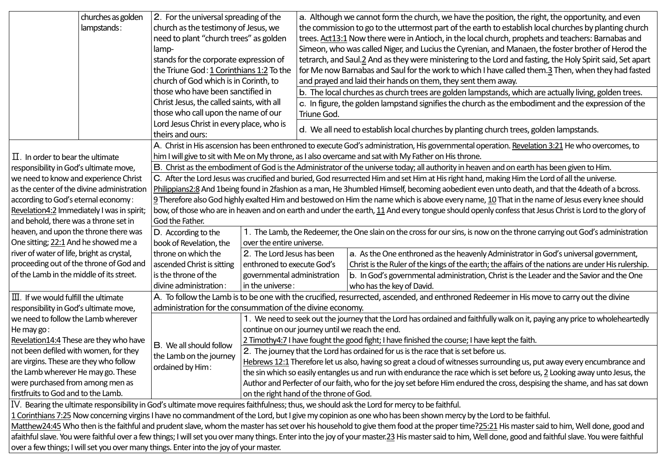|                                                                                                                                                                                                           | churches as golden                                                                                                                                                                            | 2. For the universal spreading of the                                                                                                             |                                                                                                                             | a. Although we cannot form the church, we have the position, the right, the opportunity, and even                                               |                                                                                                                                                       |  |  |  |  |
|-----------------------------------------------------------------------------------------------------------------------------------------------------------------------------------------------------------|-----------------------------------------------------------------------------------------------------------------------------------------------------------------------------------------------|---------------------------------------------------------------------------------------------------------------------------------------------------|-----------------------------------------------------------------------------------------------------------------------------|-------------------------------------------------------------------------------------------------------------------------------------------------|-------------------------------------------------------------------------------------------------------------------------------------------------------|--|--|--|--|
|                                                                                                                                                                                                           | lampstands:                                                                                                                                                                                   | church as the testimony of Jesus, we                                                                                                              |                                                                                                                             | the commission to go to the uttermost part of the earth to establish local churches by planting church                                          |                                                                                                                                                       |  |  |  |  |
|                                                                                                                                                                                                           |                                                                                                                                                                                               | need to plant "church trees" as golden                                                                                                            |                                                                                                                             | trees. Act13:1 Now there were in Antioch, in the local church, prophets and teachers: Barnabas and                                              |                                                                                                                                                       |  |  |  |  |
|                                                                                                                                                                                                           | lamp-                                                                                                                                                                                         |                                                                                                                                                   |                                                                                                                             | Simeon, who was called Niger, and Lucius the Cyrenian, and Manaen, the foster brother of Herod the                                              |                                                                                                                                                       |  |  |  |  |
|                                                                                                                                                                                                           |                                                                                                                                                                                               | stands for the corporate expression of                                                                                                            |                                                                                                                             | tetrarch, and Saul.2 And as they were ministering to the Lord and fasting, the Holy Spirit said, Set apart                                      |                                                                                                                                                       |  |  |  |  |
|                                                                                                                                                                                                           |                                                                                                                                                                                               | the Triune God: 1 Corinthians 1:2 To the                                                                                                          |                                                                                                                             | for Me now Barnabas and Saul for the work to which I have called them. <sup>3</sup> Then, when they had fasted                                  |                                                                                                                                                       |  |  |  |  |
|                                                                                                                                                                                                           |                                                                                                                                                                                               | church of God which is in Corinth, to                                                                                                             |                                                                                                                             | and prayed and laid their hands on them, they sent them away.                                                                                   |                                                                                                                                                       |  |  |  |  |
|                                                                                                                                                                                                           |                                                                                                                                                                                               | those who have been sanctified in                                                                                                                 |                                                                                                                             | b. The local churches as church trees are golden lampstands, which are actually living, golden trees.                                           |                                                                                                                                                       |  |  |  |  |
|                                                                                                                                                                                                           |                                                                                                                                                                                               |                                                                                                                                                   | Christ Jesus, the called saints, with all                                                                                   | c. In figure, the golden lampstand signifies the church as the embodiment and the expression of the                                             |                                                                                                                                                       |  |  |  |  |
|                                                                                                                                                                                                           |                                                                                                                                                                                               | those who call upon the name of our                                                                                                               |                                                                                                                             | Triune God.                                                                                                                                     |                                                                                                                                                       |  |  |  |  |
|                                                                                                                                                                                                           |                                                                                                                                                                                               | Lord Jesus Christ in every place, who is                                                                                                          |                                                                                                                             | d. We all need to establish local churches by planting church trees, golden lampstands.                                                         |                                                                                                                                                       |  |  |  |  |
|                                                                                                                                                                                                           |                                                                                                                                                                                               | theirs and ours:                                                                                                                                  |                                                                                                                             |                                                                                                                                                 |                                                                                                                                                       |  |  |  |  |
|                                                                                                                                                                                                           |                                                                                                                                                                                               |                                                                                                                                                   |                                                                                                                             | A. Christ in His ascension has been enthroned to execute God's administration, His governmental operation. Revelation 3:21 He who overcomes, to |                                                                                                                                                       |  |  |  |  |
| $\Pi$ . In order to bear the ultimate                                                                                                                                                                     |                                                                                                                                                                                               | him I will give to sit with Me on My throne, as I also overcame and sat with My Father on His throne.                                             |                                                                                                                             |                                                                                                                                                 |                                                                                                                                                       |  |  |  |  |
| responsibility in God's ultimate move,                                                                                                                                                                    |                                                                                                                                                                                               | B. Christ as the embodiment of God is the Administrator of the universe today; all authority in heaven and on earth has been given to Him.        |                                                                                                                             |                                                                                                                                                 |                                                                                                                                                       |  |  |  |  |
| C. After the Lord Jesus was crucified and buried, God resurrected Him and set Him at His right hand, making Him the Lord of all the universe.<br>we need to know and experience Christ                    |                                                                                                                                                                                               |                                                                                                                                                   |                                                                                                                             |                                                                                                                                                 |                                                                                                                                                       |  |  |  |  |
|                                                                                                                                                                                                           | Philippians2:8 And 1being found in 2fashion as a man, He 3humbled Himself, becoming aobedient even unto death, and that the 4death of a bcross.<br>as the center of the divine administration |                                                                                                                                                   |                                                                                                                             |                                                                                                                                                 |                                                                                                                                                       |  |  |  |  |
| according to God's eternal economy:                                                                                                                                                                       |                                                                                                                                                                                               | 9 Therefore also God highly exalted Him and bestowed on Him the name which is above every name, 10 That in the name of Jesus every knee should    |                                                                                                                             |                                                                                                                                                 |                                                                                                                                                       |  |  |  |  |
| Revelation4:2 Immediately I was in spirit;                                                                                                                                                                |                                                                                                                                                                                               |                                                                                                                                                   |                                                                                                                             |                                                                                                                                                 | bow, of those who are in heaven and on earth and under the earth, 11 And every tongue should openly confess that Jesus Christ is Lord to the glory of |  |  |  |  |
| and behold, there was a throne set in                                                                                                                                                                     |                                                                                                                                                                                               | God the Father.                                                                                                                                   |                                                                                                                             |                                                                                                                                                 |                                                                                                                                                       |  |  |  |  |
| heaven, and upon the throne there was                                                                                                                                                                     |                                                                                                                                                                                               | 1. The Lamb, the Redeemer, the One slain on the cross for our sins, is now on the throne carrying out God's administration<br>D. According to the |                                                                                                                             |                                                                                                                                                 |                                                                                                                                                       |  |  |  |  |
| One sitting; 22:1 And he showed me a                                                                                                                                                                      |                                                                                                                                                                                               | book of Revelation, the                                                                                                                           | over the entire universe.                                                                                                   |                                                                                                                                                 |                                                                                                                                                       |  |  |  |  |
| river of water of life, bright as crystal,                                                                                                                                                                |                                                                                                                                                                                               | throne on which the                                                                                                                               | 2. The Lord Jesus has been                                                                                                  |                                                                                                                                                 | a. As the One enthroned as the heavenly Administrator in God's universal government,                                                                  |  |  |  |  |
| proceeding out of the throne of God and                                                                                                                                                                   |                                                                                                                                                                                               | ascended Christ is sitting                                                                                                                        | enthroned to execute God's                                                                                                  |                                                                                                                                                 | Christ is the Ruler of the kings of the earth; the affairs of the nations are under His rulership.                                                    |  |  |  |  |
| of the Lamb in the middle of its street.                                                                                                                                                                  |                                                                                                                                                                                               | is the throne of the                                                                                                                              | governmental administration                                                                                                 |                                                                                                                                                 | b. In God's governmental administration, Christ is the Leader and the Savior and the One                                                              |  |  |  |  |
|                                                                                                                                                                                                           |                                                                                                                                                                                               | divine administration:                                                                                                                            | in the universe:                                                                                                            |                                                                                                                                                 | who has the key of David.                                                                                                                             |  |  |  |  |
| $\scriptstyle\rm III.$ If we would fulfill the ultimate                                                                                                                                                   |                                                                                                                                                                                               | A. To follow the Lamb is to be one with the crucified, resurrected, ascended, and enthroned Redeemer in His move to carry out the divine          |                                                                                                                             |                                                                                                                                                 |                                                                                                                                                       |  |  |  |  |
| responsibility in God's ultimate move,                                                                                                                                                                    |                                                                                                                                                                                               | administration for the consummation of the divine economy.                                                                                        |                                                                                                                             |                                                                                                                                                 |                                                                                                                                                       |  |  |  |  |
| we need to follow the Lamb wherever                                                                                                                                                                       |                                                                                                                                                                                               |                                                                                                                                                   |                                                                                                                             |                                                                                                                                                 | 1. We need to seek out the journey that the Lord has ordained and faithfully walk on it, paying any price to wholeheartedly                           |  |  |  |  |
| He may go:                                                                                                                                                                                                |                                                                                                                                                                                               |                                                                                                                                                   |                                                                                                                             | continue on our journey until we reach the end.                                                                                                 |                                                                                                                                                       |  |  |  |  |
| Revelation14:4 These are they who have                                                                                                                                                                    |                                                                                                                                                                                               | B. We all should follow                                                                                                                           | 2 Timothy4:7 I have fought the good fight; I have finished the course; I have kept the faith.                               |                                                                                                                                                 |                                                                                                                                                       |  |  |  |  |
| not been defiled with women, for they                                                                                                                                                                     |                                                                                                                                                                                               | the Lamb on the journey                                                                                                                           | 2. The journey that the Lord has ordained for us is the race that is set before us.                                         |                                                                                                                                                 |                                                                                                                                                       |  |  |  |  |
| are virgins. These are they who follow                                                                                                                                                                    |                                                                                                                                                                                               | ordained by Him:                                                                                                                                  | Hebrews 12:1 Therefore let us also, having so great a cloud of witnesses surrounding us, put away every encumbrance and     |                                                                                                                                                 |                                                                                                                                                       |  |  |  |  |
| the Lamb wherever He may go. These                                                                                                                                                                        |                                                                                                                                                                                               |                                                                                                                                                   | the sin which so easily entangles us and run with endurance the race which is set before us, 2 Looking away unto Jesus, the |                                                                                                                                                 |                                                                                                                                                       |  |  |  |  |
| were purchased from among men as                                                                                                                                                                          |                                                                                                                                                                                               |                                                                                                                                                   | Author and Perfecter of our faith, who for the joy set before Him endured the cross, despising the shame, and has sat down  |                                                                                                                                                 |                                                                                                                                                       |  |  |  |  |
| firstfruits to God and to the Lamb.                                                                                                                                                                       |                                                                                                                                                                                               | on the right hand of the throne of God.                                                                                                           |                                                                                                                             |                                                                                                                                                 |                                                                                                                                                       |  |  |  |  |
| IV. Bearing the ultimate responsibility in God's ultimate move requires faithfulness; thus, we should ask the Lord for mercy to be faithful.                                                              |                                                                                                                                                                                               |                                                                                                                                                   |                                                                                                                             |                                                                                                                                                 |                                                                                                                                                       |  |  |  |  |
| 1 Corinthians 7:25 Now concerning virgins I have no commandment of the Lord, but I give my copinion as one who has been shown mercy by the Lord to be faithful.                                           |                                                                                                                                                                                               |                                                                                                                                                   |                                                                                                                             |                                                                                                                                                 |                                                                                                                                                       |  |  |  |  |
| Matthew24:45 Who then is the faithful and prudent slave, whom the master has set over his household to give them food at the proper time?25:21 His master said to him, Well done, good and                |                                                                                                                                                                                               |                                                                                                                                                   |                                                                                                                             |                                                                                                                                                 |                                                                                                                                                       |  |  |  |  |
| afaithful slave. You were faithful over a few things; I will set you over many things. Enter into the joy of your master.23 His master said to him, Well done, good and faithful slave. You were faithful |                                                                                                                                                                                               |                                                                                                                                                   |                                                                                                                             |                                                                                                                                                 |                                                                                                                                                       |  |  |  |  |
| over a few things; I will set you over many things. Enter into the joy of your master.                                                                                                                    |                                                                                                                                                                                               |                                                                                                                                                   |                                                                                                                             |                                                                                                                                                 |                                                                                                                                                       |  |  |  |  |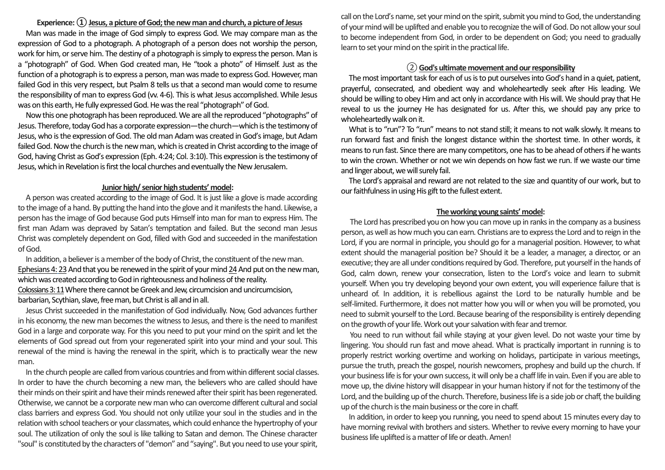## **Experience: ① Jesus, a picture of God; the new man and church, a picture of Jesus**

Man was made in the image of God simply to express God. We may compare man as the expression of God to a photograph. A photograph of a person does not worship the person, work for him, or serve him. The destiny of a photograph is simply to express the person. Man is a "photograph" of God. When God created man, He "took a photo" of Himself. Just as the function of a photograph is to express a person, man was made to express God. However, man failed God in this very respect, but Psalm 8 tells us that a second man would come to resume the responsibility of man to express God (vv. 4-6). This is what Jesus accomplished. While Jesus was on this earth, He fully expressed God. He was the real "photograph" of God.

Now this one photograph has been reproduced. We are all the reproduced "photographs" of Jesus. Therefore, today God has a corporate expression—the church—which is the testimony of Jesus, who is the expression of God. The old man Adam was created in God's image, but Adam failed God. Now the church is the new man, which is created in Christ according to the image of God, having Christ as God's expression (Eph. 4:24; Col. 3:10). This expression is the testimony of Jesus, which in Revelation is first the local churches and eventually the New Jerusalem.

#### **Junior high/ senior high students' model:**

A person was created according to the image of God. It is just like a glove is made according to the image of a hand. By putting the hand into the glove and it manifests the hand. Likewise, a person has the image of God because God puts Himself into man for man to express Him. The first man Adam was depraved by Satan's temptation and failed. But the second man Jesus Christ was completely dependent on God, filled with God and succeeded in the manifestation of God.

In addition, a believer is a member of the body of Christ, the constituent of the new man. Ephesians 4: 23 And that you be renewed in the spirit of your mind 24And put on the new man, which was created according to God in righteousness and holiness of the reality.

Colossians3:11Where there cannot be Greek and Jew, circumcision and uncircumcision, barbarian, Scythian, slave, free man, but Christ is all and in all.

Jesus Christ succeeded in the manifestation of God individually. Now, God advances further in his economy, the new man becomes the witness to Jesus, and there is the need to manifest God in a large and corporate way. For this you need to put your mind on the spirit and let the elements of God spread out from your regenerated spirit into your mind and your soul. This renewal of the mind is having the renewal in the spirit, which is to practically wear the new man.

In the church people are called from various countries and from within different social classes. In order to have the church becoming a new man, the believers who are called should have their minds on their spirit and have their minds renewed after their spirit has been regenerated. Otherwise, we cannot be a corporate new man who can overcome different cultural and social class barriers and express God. You should not only utilize your soul in the studies and in the relation with school teachers or your classmates, which could enhance the hypertrophy of your soul. The utilization of only the soul is like talking to Satan and demon. The Chinese character "soul" is constituted by the characters of "demon" and "saying". But you need to use your spirit,

call on the Lord's name, set your mind on the spirit, submit you mind to God, the understanding of your mind will be uplifted and enable you to recognize the will of God. Do not allow your soul to become independent from God, in order to be dependent on God; you need to gradually learn to set your mind on the spirit in the practical life.

# ② **God's ultimate movement and our responsibility**

The most important task for each of us is to put ourselves into God's hand in a quiet, patient, prayerful, consecrated, and obedient way and wholeheartedly seek after His leading. We should be willing to obey Him and act only in accordance with His will. We should pray that He reveal to us the journey He has designated for us. After this, we should pay any price to wholeheartedly walk on it.

What is to "run"? To "run" means to not stand still; it means to not walk slowly. It means to run forward fast and finish the longest distance within the shortest time. In other words, it means to run fast. Since there are many competitors, one has to be ahead of others if he wants to win the crown. Whether or not we win depends on how fast we run. If we waste our time and linger about, we will surely fail.

The Lord's appraisal and reward are not related to the size and quantity of our work, but to our faithfulness in using His gift to the fullest extent.

#### **The working young saints' model:**

The Lord has prescribed you on how you can move up in ranks in the company as a business person, as well as how much you can earn. Christians are to express the Lord and to reign in the Lord, if you are normal in principle, you should go for a managerial position. However, to what extent should the managerial position be? Should it be a leader, a manager, a director, or an executive; they are all under conditions required by God. Therefore, put yourself in the hands of God, calm down, renew your consecration, listen to the Lord's voice and learn to submit yourself. When you try developing beyond your own extent, you will experience failure that is unheard of. In addition, it is rebellious against the Lord to be naturally humble and be self-limited. Furthermore, it does not matter how you will or when you will be promoted, you need to submit yourself to the Lord. Because bearing of the responsibility is entirely depending on the growth of your life. Work out your salvation with fear and tremor.

You need to run without fail while staying at your given level. Do not waste your time by lingering. You should run fast and move ahead. What is practically important in running is to properly restrict working overtime and working on holidays, participate in various meetings, pursue the truth, preach the gospel, nourish newcomers, prophesy and build up the church. If your business life is for your own success, it will only be a chaff life in vain. Even if you are able to move up, the divine history will disappear in your human history if not for the testimony of the Lord, and the building up of the church. Therefore, business life is a side job or chaff, the building up of the church is the main business or the core in chaff.

In addition, in order to keep you running, you need to spend about 15 minutes every day to have morning revival with brothers and sisters. Whether to revive every morning to have your business life uplifted is a matter of life or death. Amen!